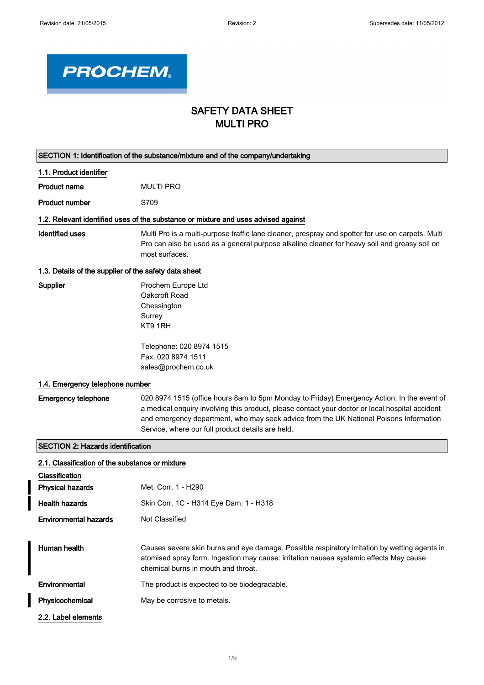

## SAFETY DATA SHEET MULTI PRO

| SECTION 1: Identification of the substance/mixture and of the company/undertaking |                                                                                                                                                                                                                                                                                                                                              |  |
|-----------------------------------------------------------------------------------|----------------------------------------------------------------------------------------------------------------------------------------------------------------------------------------------------------------------------------------------------------------------------------------------------------------------------------------------|--|
| 1.1. Product identifier                                                           |                                                                                                                                                                                                                                                                                                                                              |  |
| <b>Product name</b>                                                               | <b>MULTI PRO</b>                                                                                                                                                                                                                                                                                                                             |  |
| <b>Product number</b>                                                             | S709                                                                                                                                                                                                                                                                                                                                         |  |
|                                                                                   | 1.2. Relevant identified uses of the substance or mixture and uses advised against                                                                                                                                                                                                                                                           |  |
| <b>Identified uses</b>                                                            | Multi Pro is a multi-purpose traffic lane cleaner, prespray and spotter for use on carpets. Multi<br>Pro can also be used as a general purpose alkaline cleaner for heavy soil and greasy soil on<br>most surfaces.                                                                                                                          |  |
| 1.3. Details of the supplier of the safety data sheet                             |                                                                                                                                                                                                                                                                                                                                              |  |
| Supplier                                                                          | Prochem Europe Ltd<br>Oakcroft Road<br>Chessington<br>Surrey<br>KT9 1RH<br>Telephone: 020 8974 1515                                                                                                                                                                                                                                          |  |
|                                                                                   | Fax: 020 8974 1511                                                                                                                                                                                                                                                                                                                           |  |
|                                                                                   | sales@prochem.co.uk                                                                                                                                                                                                                                                                                                                          |  |
| 1.4. Emergency telephone number                                                   |                                                                                                                                                                                                                                                                                                                                              |  |
| <b>Emergency telephone</b>                                                        | 020 8974 1515 (office hours 8am to 5pm Monday to Friday) Emergency Action: In the event of<br>a medical enquiry involving this product, please contact your doctor or local hospital accident<br>and emergency department, who may seek advice from the UK National Poisons Information<br>Service, where our full product details are held. |  |
| <b>SECTION 2: Hazards identification</b>                                          |                                                                                                                                                                                                                                                                                                                                              |  |
| 2.1. Classification of the substance or mixture                                   |                                                                                                                                                                                                                                                                                                                                              |  |
| Classification                                                                    |                                                                                                                                                                                                                                                                                                                                              |  |
| <b>Physical hazards</b>                                                           | Met. Corr. 1 - H290                                                                                                                                                                                                                                                                                                                          |  |
| <b>Health hazards</b>                                                             | Skin Corr. 1C - H314 Eye Dam. 1 - H318                                                                                                                                                                                                                                                                                                       |  |
| <b>Environmental hazards</b>                                                      | Not Classified                                                                                                                                                                                                                                                                                                                               |  |
| Human health                                                                      | Causes severe skin burns and eye damage. Possible respiratory irritation by wetting agents in<br>atomised spray form. Ingestion may cause: irritation nausea systemic effects May cause<br>chemical burns in mouth and throat.                                                                                                               |  |
| Environmental                                                                     | The product is expected to be biodegradable.                                                                                                                                                                                                                                                                                                 |  |
| Physicochemical                                                                   | May be corrosive to metals.                                                                                                                                                                                                                                                                                                                  |  |
| 2.2. Label elements                                                               |                                                                                                                                                                                                                                                                                                                                              |  |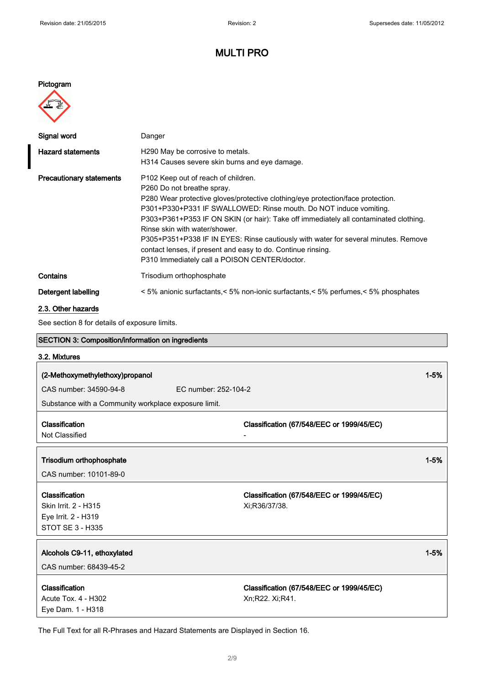## Pictogram



| Signal word                     | Danger                                                                                                                                                                                                                                                                                                                                                                                                                                                                                                                                                                |
|---------------------------------|-----------------------------------------------------------------------------------------------------------------------------------------------------------------------------------------------------------------------------------------------------------------------------------------------------------------------------------------------------------------------------------------------------------------------------------------------------------------------------------------------------------------------------------------------------------------------|
| <b>Hazard statements</b>        | H <sub>290</sub> May be corrosive to metals.<br>H314 Causes severe skin burns and eye damage.                                                                                                                                                                                                                                                                                                                                                                                                                                                                         |
| <b>Precautionary statements</b> | P <sub>102</sub> Keep out of reach of children.<br>P260 Do not breathe spray.<br>P280 Wear protective gloves/protective clothing/eye protection/face protection.<br>P301+P330+P331 IF SWALLOWED: Rinse mouth. Do NOT induce vomiting.<br>P303+P361+P353 IF ON SKIN (or hair): Take off immediately all contaminated clothing.<br>Rinse skin with water/shower.<br>P305+P351+P338 IF IN EYES: Rinse cautiously with water for several minutes. Remove<br>contact lenses, if present and easy to do. Continue rinsing.<br>P310 Immediately call a POISON CENTER/doctor. |
| Contains                        | Trisodium orthophosphate                                                                                                                                                                                                                                                                                                                                                                                                                                                                                                                                              |
| Detergent labelling             | <5% anionic surfactants, <5% non-ionic surfactants, <5% perfumes, <5% phosphates                                                                                                                                                                                                                                                                                                                                                                                                                                                                                      |

## 2.3. Other hazards

See section 8 for details of exposure limits.

| SECTION 3: Composition/information on ingredients    |                                                            |          |  |
|------------------------------------------------------|------------------------------------------------------------|----------|--|
| 3.2. Mixtures                                        |                                                            |          |  |
| (2-Methoxymethylethoxy)propanol                      |                                                            | $1 - 5%$ |  |
| CAS number: 34590-94-8                               | EC number: 252-104-2                                       |          |  |
| Substance with a Community workplace exposure limit. |                                                            |          |  |
|                                                      |                                                            |          |  |
| Classification                                       | Classification (67/548/EEC or 1999/45/EC)                  |          |  |
| Not Classified                                       |                                                            |          |  |
|                                                      |                                                            |          |  |
| Trisodium orthophosphate                             |                                                            | $1 - 5%$ |  |
| CAS number: 10101-89-0                               |                                                            |          |  |
|                                                      |                                                            |          |  |
| Classification<br>Skin Irrit. 2 - H315               | Classification (67/548/EEC or 1999/45/EC)<br>Xi:R36/37/38. |          |  |
| Eye Irrit. 2 - H319                                  |                                                            |          |  |
| <b>STOT SE 3 - H335</b>                              |                                                            |          |  |
|                                                      |                                                            |          |  |
| Alcohols C9-11, ethoxylated                          |                                                            | $1 - 5%$ |  |
| CAS number: 68439-45-2                               |                                                            |          |  |
|                                                      |                                                            |          |  |
| Classification                                       | Classification (67/548/EEC or 1999/45/EC)                  |          |  |
| Acute Tox. 4 - H302                                  | Xn;R22. Xi;R41.                                            |          |  |
| Eye Dam. 1 - H318                                    |                                                            |          |  |

The Full Text for all R-Phrases and Hazard Statements are Displayed in Section 16.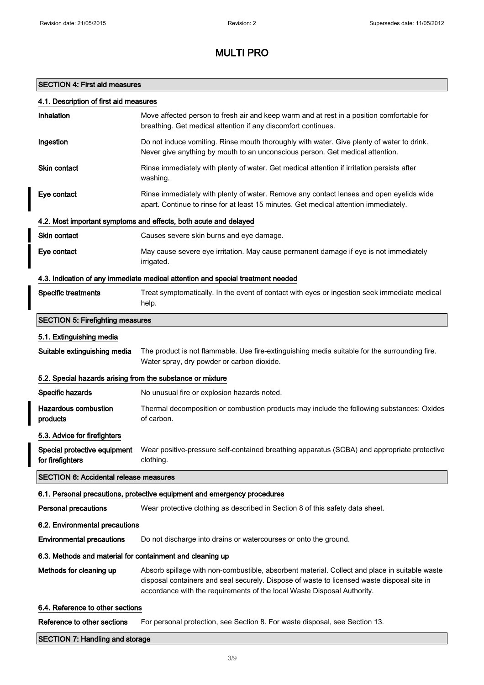## SECTION 4: First aid measures

## 4.1. Description of first aid measures

| Inhalation                                                 | Move affected person to fresh air and keep warm and at rest in a position comfortable for<br>breathing. Get medical attention if any discomfort continues.                                                                                                             |  |  |  |
|------------------------------------------------------------|------------------------------------------------------------------------------------------------------------------------------------------------------------------------------------------------------------------------------------------------------------------------|--|--|--|
| Ingestion                                                  | Do not induce vomiting. Rinse mouth thoroughly with water. Give plenty of water to drink.<br>Never give anything by mouth to an unconscious person. Get medical attention.                                                                                             |  |  |  |
| <b>Skin contact</b>                                        | Rinse immediately with plenty of water. Get medical attention if irritation persists after<br>washing.                                                                                                                                                                 |  |  |  |
| Eye contact                                                | Rinse immediately with plenty of water. Remove any contact lenses and open eyelids wide<br>apart. Continue to rinse for at least 15 minutes. Get medical attention immediately.                                                                                        |  |  |  |
|                                                            | 4.2. Most important symptoms and effects, both acute and delayed                                                                                                                                                                                                       |  |  |  |
| <b>Skin contact</b>                                        | Causes severe skin burns and eye damage.                                                                                                                                                                                                                               |  |  |  |
| Eye contact                                                | May cause severe eye irritation. May cause permanent damage if eye is not immediately<br>irrigated.                                                                                                                                                                    |  |  |  |
|                                                            | 4.3. Indication of any immediate medical attention and special treatment needed                                                                                                                                                                                        |  |  |  |
| <b>Specific treatments</b>                                 | Treat symptomatically. In the event of contact with eyes or ingestion seek immediate medical<br>help.                                                                                                                                                                  |  |  |  |
| <b>SECTION 5: Firefighting measures</b>                    |                                                                                                                                                                                                                                                                        |  |  |  |
| 5.1. Extinguishing media                                   |                                                                                                                                                                                                                                                                        |  |  |  |
| Suitable extinguishing media                               | The product is not flammable. Use fire-extinguishing media suitable for the surrounding fire.<br>Water spray, dry powder or carbon dioxide.                                                                                                                            |  |  |  |
| 5.2. Special hazards arising from the substance or mixture |                                                                                                                                                                                                                                                                        |  |  |  |
| Specific hazards                                           | No unusual fire or explosion hazards noted.                                                                                                                                                                                                                            |  |  |  |
| <b>Hazardous combustion</b><br>products                    | Thermal decomposition or combustion products may include the following substances: Oxides<br>of carbon.                                                                                                                                                                |  |  |  |
| 5.3. Advice for firefighters                               |                                                                                                                                                                                                                                                                        |  |  |  |
| Special protective equipment<br>for firefighters           | Wear positive-pressure self-contained breathing apparatus (SCBA) and appropriate protective<br>clothing.                                                                                                                                                               |  |  |  |
| <b>SECTION 6: Accidental release measures</b>              |                                                                                                                                                                                                                                                                        |  |  |  |
|                                                            | 6.1. Personal precautions, protective equipment and emergency procedures                                                                                                                                                                                               |  |  |  |
| <b>Personal precautions</b>                                | Wear protective clothing as described in Section 8 of this safety data sheet.                                                                                                                                                                                          |  |  |  |
| 6.2. Environmental precautions                             |                                                                                                                                                                                                                                                                        |  |  |  |
| <b>Environmental precautions</b>                           | Do not discharge into drains or watercourses or onto the ground.                                                                                                                                                                                                       |  |  |  |
| 6.3. Methods and material for containment and cleaning up  |                                                                                                                                                                                                                                                                        |  |  |  |
| Methods for cleaning up                                    | Absorb spillage with non-combustible, absorbent material. Collect and place in suitable waste<br>disposal containers and seal securely. Dispose of waste to licensed waste disposal site in<br>accordance with the requirements of the local Waste Disposal Authority. |  |  |  |
| 6.4. Reference to other sections                           |                                                                                                                                                                                                                                                                        |  |  |  |
| Reference to other sections                                | For personal protection, see Section 8. For waste disposal, see Section 13.                                                                                                                                                                                            |  |  |  |
| <b>SECTION 7: Handling and storage</b>                     |                                                                                                                                                                                                                                                                        |  |  |  |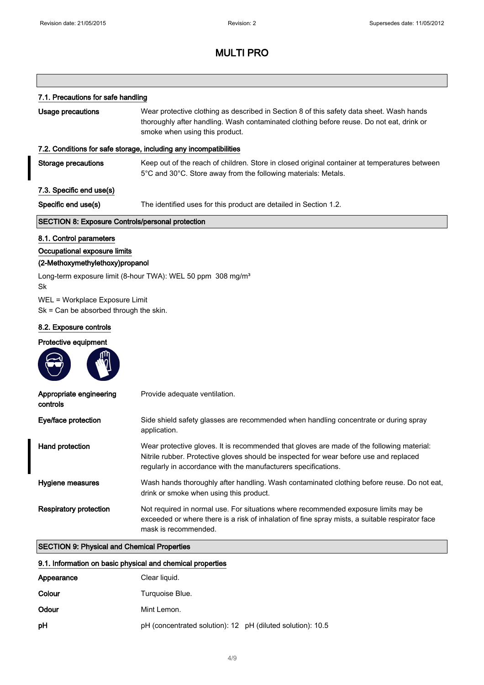## 7.1. Precautions for safe handling

| Usage precautions                                                          | Wear protective clothing as described in Section 8 of this safety data sheet. Wash hands<br>thoroughly after handling. Wash contaminated clothing before reuse. Do not eat, drink or<br>smoke when using this product.                                |  |  |  |
|----------------------------------------------------------------------------|-------------------------------------------------------------------------------------------------------------------------------------------------------------------------------------------------------------------------------------------------------|--|--|--|
|                                                                            | 7.2. Conditions for safe storage, including any incompatibilities                                                                                                                                                                                     |  |  |  |
| <b>Storage precautions</b>                                                 | Keep out of the reach of children. Store in closed original container at temperatures between<br>5°C and 30°C. Store away from the following materials: Metals.                                                                                       |  |  |  |
| 7.3. Specific end use(s)                                                   |                                                                                                                                                                                                                                                       |  |  |  |
| Specific end use(s)                                                        | The identified uses for this product are detailed in Section 1.2.                                                                                                                                                                                     |  |  |  |
| <b>SECTION 8: Exposure Controls/personal protection</b>                    |                                                                                                                                                                                                                                                       |  |  |  |
| 8.1. Control parameters                                                    |                                                                                                                                                                                                                                                       |  |  |  |
| Occupational exposure limits<br>(2-Methoxymethylethoxy)propanol            |                                                                                                                                                                                                                                                       |  |  |  |
| Sk                                                                         | Long-term exposure limit (8-hour TWA): WEL 50 ppm 308 mg/m <sup>3</sup>                                                                                                                                                                               |  |  |  |
| WEL = Workplace Exposure Limit<br>$Sk = Can be absorbed through the skin.$ |                                                                                                                                                                                                                                                       |  |  |  |
| 8.2. Exposure controls                                                     |                                                                                                                                                                                                                                                       |  |  |  |
| Protective equipment                                                       |                                                                                                                                                                                                                                                       |  |  |  |
|                                                                            |                                                                                                                                                                                                                                                       |  |  |  |
| Appropriate engineering<br>controls                                        | Provide adequate ventilation.                                                                                                                                                                                                                         |  |  |  |
| Eye/face protection                                                        | Side shield safety glasses are recommended when handling concentrate or during spray<br>application.                                                                                                                                                  |  |  |  |
| Hand protection                                                            | Wear protective gloves. It is recommended that gloves are made of the following material:<br>Nitrile rubber. Protective gloves should be inspected for wear before use and replaced<br>regularly in accordance with the manufacturers specifications. |  |  |  |
| Hygiene measures                                                           | Wash hands thoroughly after handling. Wash contaminated clothing before reuse. Do not eat,<br>drink or smoke when using this product.                                                                                                                 |  |  |  |
| <b>Respiratory protection</b>                                              | Not required in normal use. For situations where recommended exposure limits may be<br>exceeded or where there is a risk of inhalation of fine spray mists, a suitable respirator face<br>mask is recommended.                                        |  |  |  |

## SECTION 9: Physical and Chemical Properties

## 9.1. Information on basic physical and chemical properties

| Appearance | Clear liquid.                                              |  |
|------------|------------------------------------------------------------|--|
| Colour     | Turquoise Blue.                                            |  |
| Odour      | Mint Lemon.                                                |  |
| pH         | pH (concentrated solution): 12 pH (diluted solution): 10.5 |  |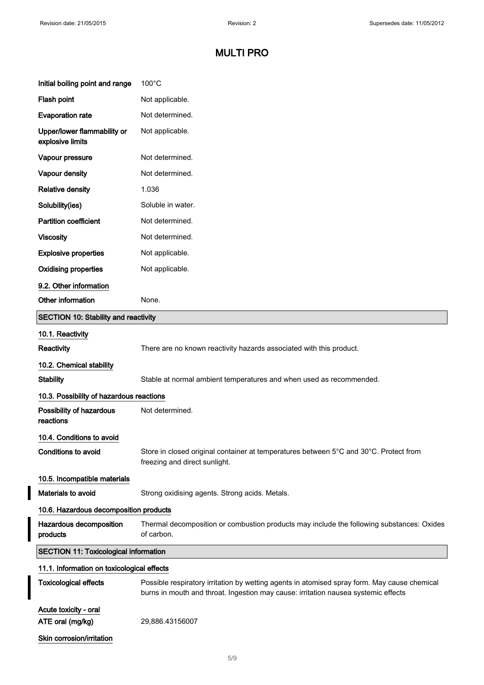$\overline{\phantom{a}}$ 

 $\overline{\phantom{a}}$ 

# MULTI PRO

| Initial boiling point and range                 | $100^{\circ}$ C                                                                                                                                                                    |  |
|-------------------------------------------------|------------------------------------------------------------------------------------------------------------------------------------------------------------------------------------|--|
| Flash point                                     | Not applicable.                                                                                                                                                                    |  |
| <b>Evaporation rate</b>                         | Not determined.                                                                                                                                                                    |  |
| Upper/lower flammability or<br>explosive limits | Not applicable.                                                                                                                                                                    |  |
| Vapour pressure                                 | Not determined.                                                                                                                                                                    |  |
| Vapour density                                  | Not determined.                                                                                                                                                                    |  |
| <b>Relative density</b>                         | 1.036                                                                                                                                                                              |  |
| Solubility(ies)                                 | Soluble in water.                                                                                                                                                                  |  |
| <b>Partition coefficient</b>                    | Not determined.                                                                                                                                                                    |  |
| <b>Viscosity</b>                                | Not determined.                                                                                                                                                                    |  |
| <b>Explosive properties</b>                     | Not applicable.                                                                                                                                                                    |  |
| <b>Oxidising properties</b>                     | Not applicable.                                                                                                                                                                    |  |
| 9.2. Other information                          |                                                                                                                                                                                    |  |
| Other information                               | None.                                                                                                                                                                              |  |
| <b>SECTION 10: Stability and reactivity</b>     |                                                                                                                                                                                    |  |
| 10.1. Reactivity                                |                                                                                                                                                                                    |  |
| Reactivity                                      | There are no known reactivity hazards associated with this product.                                                                                                                |  |
| 10.2. Chemical stability                        |                                                                                                                                                                                    |  |
| <b>Stability</b>                                | Stable at normal ambient temperatures and when used as recommended.                                                                                                                |  |
| 10.3. Possibility of hazardous reactions        |                                                                                                                                                                                    |  |
| Possibility of hazardous<br>reactions           | Not determined.                                                                                                                                                                    |  |
| 10.4. Conditions to avoid                       |                                                                                                                                                                                    |  |
| Conditions to avoid                             | Store in closed original container at temperatures between 5°C and 30°C. Protect from<br>freezing and direct sunlight.                                                             |  |
| 10.5. Incompatible materials                    |                                                                                                                                                                                    |  |
| Materials to avoid                              | Strong oxidising agents. Strong acids. Metals.                                                                                                                                     |  |
| 10.6. Hazardous decomposition products          |                                                                                                                                                                                    |  |
| Hazardous decomposition<br>products             | Thermal decomposition or combustion products may include the following substances: Oxides<br>of carbon.                                                                            |  |
| <b>SECTION 11: Toxicological information</b>    |                                                                                                                                                                                    |  |
| 11.1. Information on toxicological effects      |                                                                                                                                                                                    |  |
| <b>Toxicological effects</b>                    | Possible respiratory irritation by wetting agents in atomised spray form. May cause chemical<br>burns in mouth and throat. Ingestion may cause: irritation nausea systemic effects |  |
| Acute toxicity - oral<br>ATE oral (mg/kg)       | 29,886.43156007                                                                                                                                                                    |  |
| Skin corrosion/irritation                       |                                                                                                                                                                                    |  |
|                                                 |                                                                                                                                                                                    |  |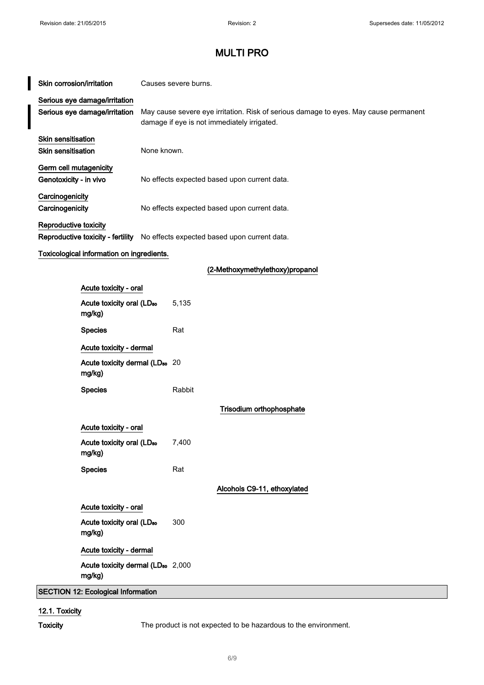$\overline{\phantom{a}}$ 

# MULTI PRO

| Skin corrosion/irritation                                                                               |                                                                                                  |                                                                                                                                     | Causes severe burns. |                                 |
|---------------------------------------------------------------------------------------------------------|--------------------------------------------------------------------------------------------------|-------------------------------------------------------------------------------------------------------------------------------------|----------------------|---------------------------------|
|                                                                                                         | Serious eye damage/irritation<br>Serious eye damage/irritation                                   | May cause severe eye irritation. Risk of serious damage to eyes. May cause permanent<br>damage if eye is not immediately irrigated. |                      |                                 |
| Skin sensitisation<br><b>Skin sensitisation</b><br>None known.                                          |                                                                                                  |                                                                                                                                     |                      |                                 |
|                                                                                                         | Germ cell mutagenicity<br>Genotoxicity - in vivo<br>No effects expected based upon current data. |                                                                                                                                     |                      |                                 |
| Carcinogenicity<br>Carcinogenicity                                                                      | No effects expected based upon current data.                                                     |                                                                                                                                     |                      |                                 |
| Reproductive toxicity<br>Reproductive toxicity - fertility No effects expected based upon current data. |                                                                                                  |                                                                                                                                     |                      |                                 |
|                                                                                                         | Toxicological information on ingredients.                                                        |                                                                                                                                     |                      |                                 |
|                                                                                                         |                                                                                                  |                                                                                                                                     |                      | (2-Methoxymethylethoxy)propanol |
|                                                                                                         | Acute toxicity - oral                                                                            |                                                                                                                                     |                      |                                 |
|                                                                                                         | Acute toxicity oral (LD <sub>50</sub><br>mg/kg)                                                  |                                                                                                                                     | 5,135                |                                 |
|                                                                                                         | <b>Species</b>                                                                                   |                                                                                                                                     | Rat                  |                                 |
|                                                                                                         | Acute toxicity - dermal                                                                          |                                                                                                                                     |                      |                                 |
|                                                                                                         | Acute toxicity dermal (LD <sub>50</sub> 20<br>mg/kg)                                             |                                                                                                                                     |                      |                                 |
|                                                                                                         | <b>Species</b>                                                                                   |                                                                                                                                     | Rabbit               |                                 |
|                                                                                                         |                                                                                                  |                                                                                                                                     |                      | Trisodium orthophosphate        |
|                                                                                                         | Acute toxicity - oral                                                                            |                                                                                                                                     |                      |                                 |
|                                                                                                         | Acute toxicity oral (LD <sub>50</sub><br>mg/kg)                                                  |                                                                                                                                     | 7,400                |                                 |
|                                                                                                         | <b>Species</b>                                                                                   |                                                                                                                                     | Rat                  |                                 |
|                                                                                                         |                                                                                                  |                                                                                                                                     |                      | Alcohols C9-11, ethoxylated     |
|                                                                                                         | Acute toxicity - oral                                                                            |                                                                                                                                     |                      |                                 |
|                                                                                                         | Acute toxicity oral (LD <sub>50</sub><br>mg/kg)                                                  |                                                                                                                                     | 300                  |                                 |

Acute toxicity dermal (LD<sub>50</sub> 2,000 mg/kg)

Acute toxicity - dermal

SECTION 12: Ecological Information

#### 12.1. Toxicity

Toxicity The product is not expected to be hazardous to the environment.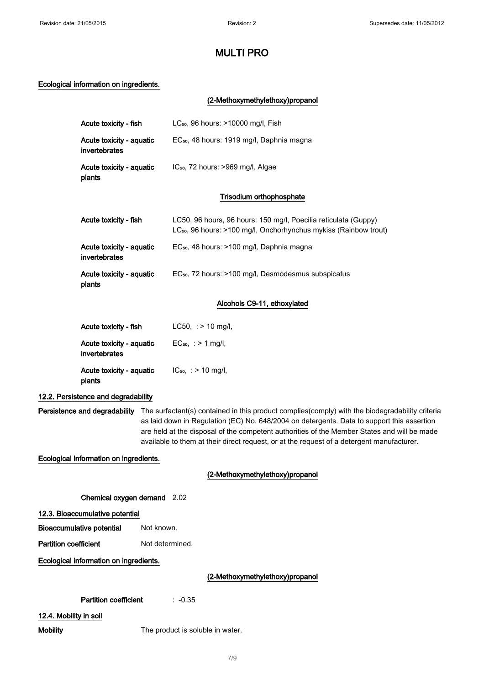## Ecological information on ingredients.

## (2-Methoxymethylethoxy)propanol

| Acute toxicity - fish                     | $LC_{50}$ , 96 hours: $>10000$ mg/l, Fish                                                                                                       |  |  |  |
|-------------------------------------------|-------------------------------------------------------------------------------------------------------------------------------------------------|--|--|--|
| Acute toxicity - aquatic<br>invertebrates | EC <sub>50</sub> , 48 hours: 1919 mg/l, Daphnia magna                                                                                           |  |  |  |
| Acute toxicity - aquatic<br>plants        | $IC_{50}$ , 72 hours: >969 mg/l, Algae                                                                                                          |  |  |  |
|                                           | Trisodium orthophosphate                                                                                                                        |  |  |  |
| Acute toxicity - fish                     | LC50, 96 hours, 96 hours: 150 mg/l, Poecilia reticulata (Guppy)<br>LC <sub>50</sub> , 96 hours: >100 mg/l, Onchorhynchus mykiss (Rainbow trout) |  |  |  |
| Acute toxicity - aquatic<br>invertebrates | EC <sub>50</sub> , 48 hours: >100 mg/l, Daphnia magna                                                                                           |  |  |  |
| Acute toxicity - aquatic<br>plants        | EC <sub>50</sub> , 72 hours: >100 mg/l, Desmodesmus subspicatus                                                                                 |  |  |  |
|                                           |                                                                                                                                                 |  |  |  |

## Alcohols C9-11, ethoxylated

| Acute toxicity - fish                     | $LC50$ , : > 10 mg/l,    |
|-------------------------------------------|--------------------------|
| Acute toxicity - aquatic<br>invertebrates | $EC_{50}$ , : > 1 mg/l,  |
| Acute toxicity - aquatic<br>plants        | $IC_{50}$ , : > 10 mg/l, |

## 12.2. Persistence and degradability

Persistence and degradability The surfactant(s) contained in this product complies(comply) with the biodegradability criteria as laid down in Regulation (EC) No. 648/2004 on detergents. Data to support this assertion are held at the disposal of the competent authorities of the Member States and will be made available to them at their direct request, or at the request of a detergent manufacturer.

Ecological information on ingredients.

## (2-Methoxymethylethoxy)propanol

Chemical oxygen demand 2.02

12.3. Bioaccumulative potential

Bioaccumulative potential Not known.

Partition coefficient Not determined.

Ecological information on ingredients.

## (2-Methoxymethylethoxy)propanol

## Partition coefficient : -0.35

12.4. Mobility in soil

Mobility Mobility The product is soluble in water.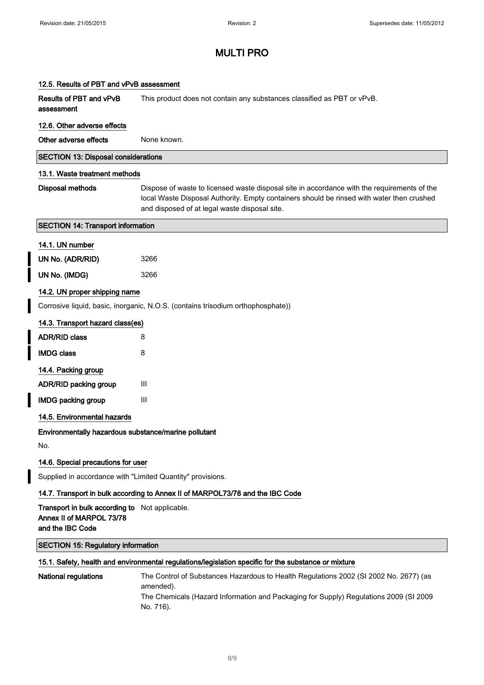I

# MULTI PRO

| 12.5. Results of PBT and vPvB assessment                                                              |                                                                                                                                                                                                                                           |  |  |
|-------------------------------------------------------------------------------------------------------|-------------------------------------------------------------------------------------------------------------------------------------------------------------------------------------------------------------------------------------------|--|--|
| Results of PBT and vPvB<br>assessment                                                                 | This product does not contain any substances classified as PBT or vPvB.                                                                                                                                                                   |  |  |
| 12.6. Other adverse effects                                                                           |                                                                                                                                                                                                                                           |  |  |
| Other adverse effects                                                                                 | None known.                                                                                                                                                                                                                               |  |  |
| <b>SECTION 13: Disposal considerations</b>                                                            |                                                                                                                                                                                                                                           |  |  |
| 13.1. Waste treatment methods                                                                         |                                                                                                                                                                                                                                           |  |  |
| <b>Disposal methods</b>                                                                               | Dispose of waste to licensed waste disposal site in accordance with the requirements of the<br>local Waste Disposal Authority. Empty containers should be rinsed with water then crushed<br>and disposed of at legal waste disposal site. |  |  |
| <b>SECTION 14: Transport information</b>                                                              |                                                                                                                                                                                                                                           |  |  |
| 14.1. UN number                                                                                       |                                                                                                                                                                                                                                           |  |  |
| UN No. (ADR/RID)                                                                                      | 3266                                                                                                                                                                                                                                      |  |  |
| UN No. (IMDG)                                                                                         | 3266                                                                                                                                                                                                                                      |  |  |
| 14.2. UN proper shipping name                                                                         |                                                                                                                                                                                                                                           |  |  |
|                                                                                                       | Corrosive liquid, basic, inorganic, N.O.S. (contains trisodium orthophosphate))                                                                                                                                                           |  |  |
| 14.3. Transport hazard class(es)                                                                      |                                                                                                                                                                                                                                           |  |  |
| <b>ADR/RID class</b>                                                                                  | 8                                                                                                                                                                                                                                         |  |  |
| <b>IMDG class</b>                                                                                     | 8                                                                                                                                                                                                                                         |  |  |
| 14.4. Packing group                                                                                   |                                                                                                                                                                                                                                           |  |  |
| ADR/RID packing group                                                                                 | Ш                                                                                                                                                                                                                                         |  |  |
| <b>IMDG packing group</b>                                                                             | Ш                                                                                                                                                                                                                                         |  |  |
| 14.5. Environmental hazards                                                                           |                                                                                                                                                                                                                                           |  |  |
| Environmentally hazardous substance/marine pollutant                                                  |                                                                                                                                                                                                                                           |  |  |
| No.                                                                                                   |                                                                                                                                                                                                                                           |  |  |
| 14.6. Special precautions for user                                                                    |                                                                                                                                                                                                                                           |  |  |
| Supplied in accordance with "Limited Quantity" provisions.                                            |                                                                                                                                                                                                                                           |  |  |
|                                                                                                       | 14.7. Transport in bulk according to Annex II of MARPOL73/78 and the IBC Code                                                                                                                                                             |  |  |
| <b>Transport in bulk according to</b> Not applicable.<br>Annex II of MARPOL 73/78<br>and the IBC Code |                                                                                                                                                                                                                                           |  |  |
| <b>SECTION 15: Regulatory information</b>                                                             |                                                                                                                                                                                                                                           |  |  |
|                                                                                                       | 15.1. Safety, health and environmental regulations/legislation specific for the substance or mixture                                                                                                                                      |  |  |
| <b>National regulations</b>                                                                           | The Control of Substances Hazardous to Health Regulations 2002 (SI 2002 No. 2677) (as<br>amended).<br>The Chemicals (Hazard Information and Packaging for Supply) Regulations 2009 (SI 2009<br>No. 716).                                  |  |  |